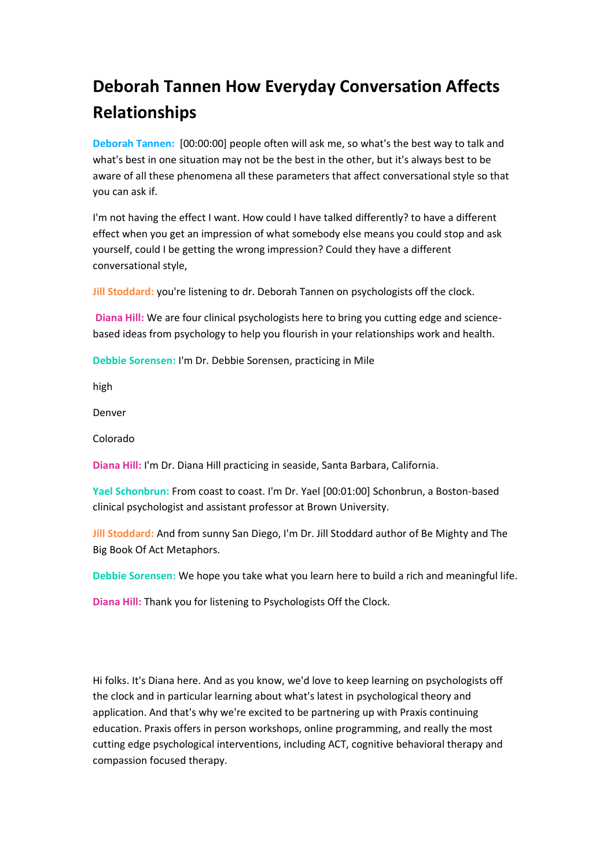# **Deborah Tannen How Everyday Conversation Affects Relationships**

**Deborah Tannen:** [00:00:00] people often will ask me, so what's the best way to talk and what's best in one situation may not be the best in the other, but it's always best to be aware of all these phenomena all these parameters that affect conversational style so that you can ask if.

I'm not having the effect I want. How could I have talked differently? to have a different effect when you get an impression of what somebody else means you could stop and ask yourself, could I be getting the wrong impression? Could they have a different conversational style,

**Jill Stoddard:** you're listening to dr. Deborah Tannen on psychologists off the clock.

**Diana Hill:** We are four clinical psychologists here to bring you cutting edge and sciencebased ideas from psychology to help you flourish in your relationships work and health.

**Debbie Sorensen:** I'm Dr. Debbie Sorensen, practicing in Mile

high

Denver

Colorado

**Diana Hill:** I'm Dr. Diana Hill practicing in seaside, Santa Barbara, California.

**Yael Schonbrun:** From coast to coast. I'm Dr. Yael [00:01:00] Schonbrun, a Boston-based clinical psychologist and assistant professor at Brown University.

**Jill Stoddard:** And from sunny San Diego, I'm Dr. Jill Stoddard author of Be Mighty and The Big Book Of Act Metaphors.

**Debbie Sorensen:** We hope you take what you learn here to build a rich and meaningful life.

**Diana Hill:** Thank you for listening to Psychologists Off the Clock.

Hi folks. It's Diana here. And as you know, we'd love to keep learning on psychologists off the clock and in particular learning about what's latest in psychological theory and application. And that's why we're excited to be partnering up with Praxis continuing education. Praxis offers in person workshops, online programming, and really the most cutting edge psychological interventions, including ACT, cognitive behavioral therapy and compassion focused therapy.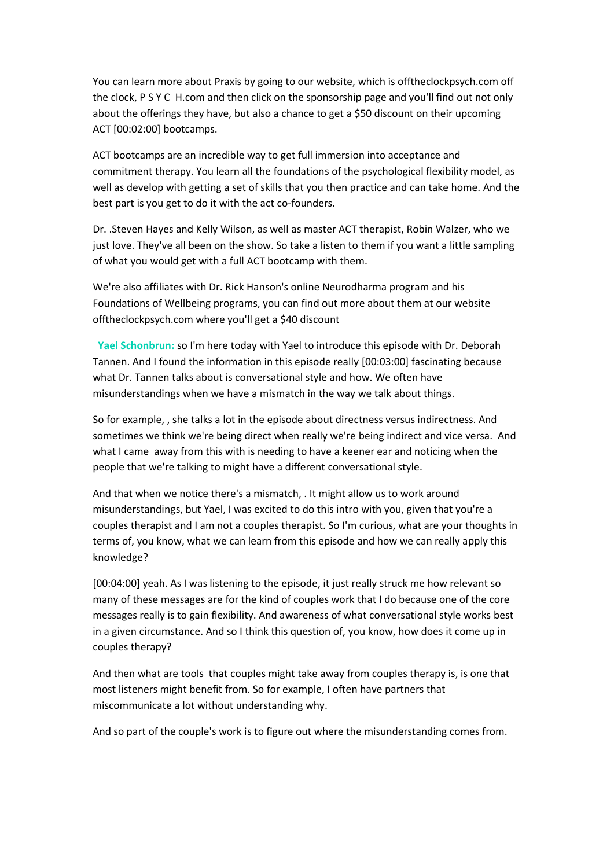You can learn more about Praxis by going to our website, which is offtheclockpsych.com off the clock, P S Y C H.com and then click on the sponsorship page and you'll find out not only about the offerings they have, but also a chance to get a \$50 discount on their upcoming ACT [00:02:00] bootcamps.

ACT bootcamps are an incredible way to get full immersion into acceptance and commitment therapy. You learn all the foundations of the psychological flexibility model, as well as develop with getting a set of skills that you then practice and can take home. And the best part is you get to do it with the act co-founders.

Dr. .Steven Hayes and Kelly Wilson, as well as master ACT therapist, Robin Walzer, who we just love. They've all been on the show. So take a listen to them if you want a little sampling of what you would get with a full ACT bootcamp with them.

We're also affiliates with Dr. Rick Hanson's online Neurodharma program and his Foundations of Wellbeing programs, you can find out more about them at our website offtheclockpsych.com where you'll get a \$40 discount

 **Yael Schonbrun:** so I'm here today with Yael to introduce this episode with Dr. Deborah Tannen. And I found the information in this episode really [00:03:00] fascinating because what Dr. Tannen talks about is conversational style and how. We often have misunderstandings when we have a mismatch in the way we talk about things.

So for example, , she talks a lot in the episode about directness versus indirectness. And sometimes we think we're being direct when really we're being indirect and vice versa. And what I came away from this with is needing to have a keener ear and noticing when the people that we're talking to might have a different conversational style.

And that when we notice there's a mismatch, . It might allow us to work around misunderstandings, but Yael, I was excited to do this intro with you, given that you're a couples therapist and I am not a couples therapist. So I'm curious, what are your thoughts in terms of, you know, what we can learn from this episode and how we can really apply this knowledge?

[00:04:00] yeah. As I was listening to the episode, it just really struck me how relevant so many of these messages are for the kind of couples work that I do because one of the core messages really is to gain flexibility. And awareness of what conversational style works best in a given circumstance. And so I think this question of, you know, how does it come up in couples therapy?

And then what are tools that couples might take away from couples therapy is, is one that most listeners might benefit from. So for example, I often have partners that miscommunicate a lot without understanding why.

And so part of the couple's work is to figure out where the misunderstanding comes from.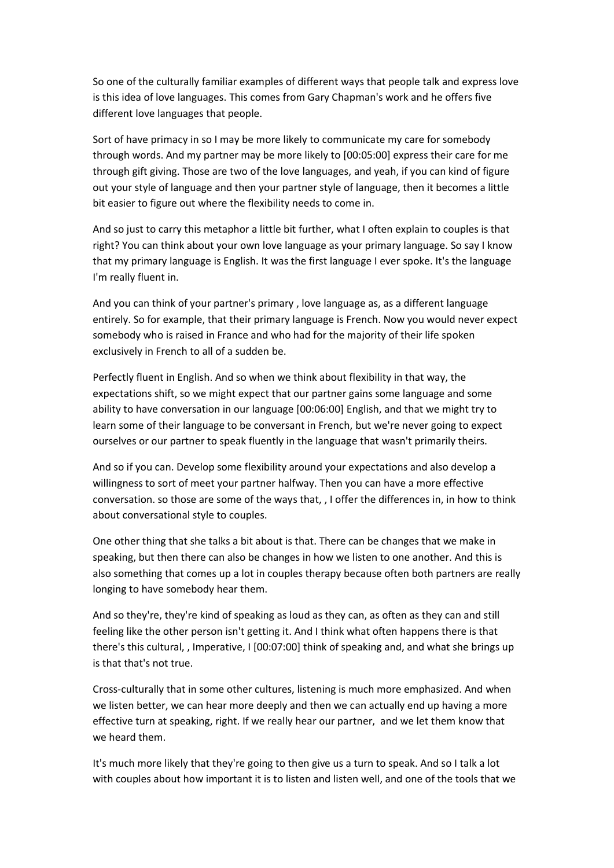So one of the culturally familiar examples of different ways that people talk and express love is this idea of love languages. This comes from Gary Chapman's work and he offers five different love languages that people.

Sort of have primacy in so I may be more likely to communicate my care for somebody through words. And my partner may be more likely to [00:05:00] express their care for me through gift giving. Those are two of the love languages, and yeah, if you can kind of figure out your style of language and then your partner style of language, then it becomes a little bit easier to figure out where the flexibility needs to come in.

And so just to carry this metaphor a little bit further, what I often explain to couples is that right? You can think about your own love language as your primary language. So say I know that my primary language is English. It was the first language I ever spoke. It's the language I'm really fluent in.

And you can think of your partner's primary , love language as, as a different language entirely. So for example, that their primary language is French. Now you would never expect somebody who is raised in France and who had for the majority of their life spoken exclusively in French to all of a sudden be.

Perfectly fluent in English. And so when we think about flexibility in that way, the expectations shift, so we might expect that our partner gains some language and some ability to have conversation in our language [00:06:00] English, and that we might try to learn some of their language to be conversant in French, but we're never going to expect ourselves or our partner to speak fluently in the language that wasn't primarily theirs.

And so if you can. Develop some flexibility around your expectations and also develop a willingness to sort of meet your partner halfway. Then you can have a more effective conversation. so those are some of the ways that, , I offer the differences in, in how to think about conversational style to couples.

One other thing that she talks a bit about is that. There can be changes that we make in speaking, but then there can also be changes in how we listen to one another. And this is also something that comes up a lot in couples therapy because often both partners are really longing to have somebody hear them.

And so they're, they're kind of speaking as loud as they can, as often as they can and still feeling like the other person isn't getting it. And I think what often happens there is that there's this cultural, , Imperative, I [00:07:00] think of speaking and, and what she brings up is that that's not true.

Cross-culturally that in some other cultures, listening is much more emphasized. And when we listen better, we can hear more deeply and then we can actually end up having a more effective turn at speaking, right. If we really hear our partner, and we let them know that we heard them.

It's much more likely that they're going to then give us a turn to speak. And so I talk a lot with couples about how important it is to listen and listen well, and one of the tools that we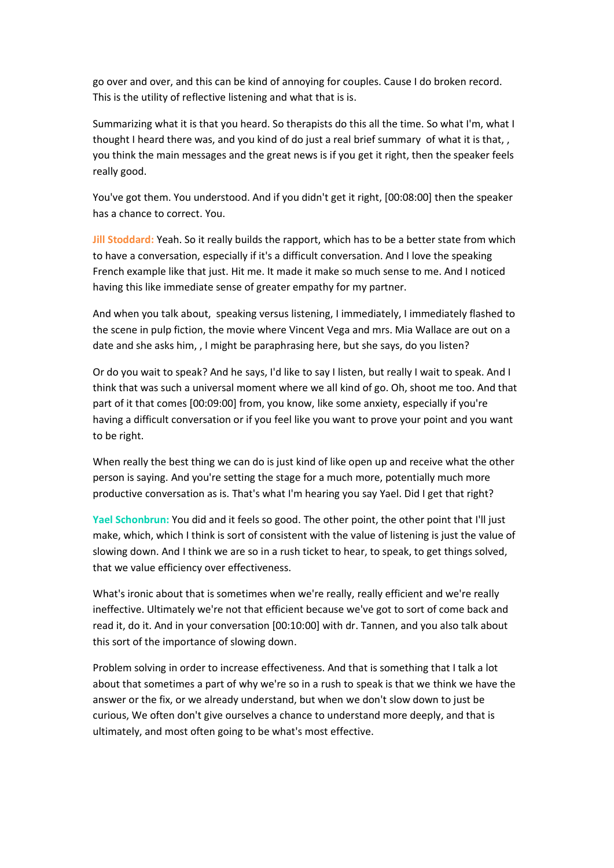go over and over, and this can be kind of annoying for couples. Cause I do broken record. This is the utility of reflective listening and what that is is.

Summarizing what it is that you heard. So therapists do this all the time. So what I'm, what I thought I heard there was, and you kind of do just a real brief summary of what it is that, , you think the main messages and the great news is if you get it right, then the speaker feels really good.

You've got them. You understood. And if you didn't get it right, [00:08:00] then the speaker has a chance to correct. You.

**Jill Stoddard:** Yeah. So it really builds the rapport, which has to be a better state from which to have a conversation, especially if it's a difficult conversation. And I love the speaking French example like that just. Hit me. It made it make so much sense to me. And I noticed having this like immediate sense of greater empathy for my partner.

And when you talk about, speaking versus listening, I immediately, I immediately flashed to the scene in pulp fiction, the movie where Vincent Vega and mrs. Mia Wallace are out on a date and she asks him, , I might be paraphrasing here, but she says, do you listen?

Or do you wait to speak? And he says, I'd like to say I listen, but really I wait to speak. And I think that was such a universal moment where we all kind of go. Oh, shoot me too. And that part of it that comes [00:09:00] from, you know, like some anxiety, especially if you're having a difficult conversation or if you feel like you want to prove your point and you want to be right.

When really the best thing we can do is just kind of like open up and receive what the other person is saying. And you're setting the stage for a much more, potentially much more productive conversation as is. That's what I'm hearing you say Yael. Did I get that right?

**Yael Schonbrun:** You did and it feels so good. The other point, the other point that I'll just make, which, which I think is sort of consistent with the value of listening is just the value of slowing down. And I think we are so in a rush ticket to hear, to speak, to get things solved, that we value efficiency over effectiveness.

What's ironic about that is sometimes when we're really, really efficient and we're really ineffective. Ultimately we're not that efficient because we've got to sort of come back and read it, do it. And in your conversation [00:10:00] with dr. Tannen, and you also talk about this sort of the importance of slowing down.

Problem solving in order to increase effectiveness. And that is something that I talk a lot about that sometimes a part of why we're so in a rush to speak is that we think we have the answer or the fix, or we already understand, but when we don't slow down to just be curious, We often don't give ourselves a chance to understand more deeply, and that is ultimately, and most often going to be what's most effective.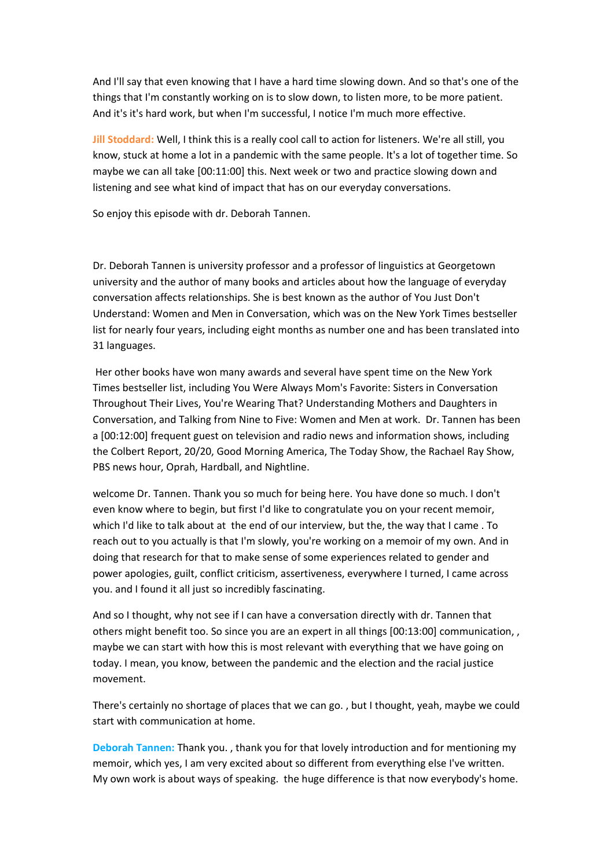And I'll say that even knowing that I have a hard time slowing down. And so that's one of the things that I'm constantly working on is to slow down, to listen more, to be more patient. And it's it's hard work, but when I'm successful, I notice I'm much more effective.

**Jill Stoddard:** Well, I think this is a really cool call to action for listeners. We're all still, you know, stuck at home a lot in a pandemic with the same people. It's a lot of together time. So maybe we can all take [00:11:00] this. Next week or two and practice slowing down and listening and see what kind of impact that has on our everyday conversations.

So enjoy this episode with dr. Deborah Tannen.

Dr. Deborah Tannen is university professor and a professor of linguistics at Georgetown university and the author of many books and articles about how the language of everyday conversation affects relationships. She is best known as the author of You Just Don't Understand: Women and Men in Conversation, which was on the New York Times bestseller list for nearly four years, including eight months as number one and has been translated into 31 languages.

Her other books have won many awards and several have spent time on the New York Times bestseller list, including You Were Always Mom's Favorite: Sisters in Conversation Throughout Their Lives, You're Wearing That? Understanding Mothers and Daughters in Conversation, and Talking from Nine to Five: Women and Men at work. Dr. Tannen has been a [00:12:00] frequent guest on television and radio news and information shows, including the Colbert Report, 20/20, Good Morning America, The Today Show, the Rachael Ray Show, PBS news hour, Oprah, Hardball, and Nightline.

welcome Dr. Tannen. Thank you so much for being here. You have done so much. I don't even know where to begin, but first I'd like to congratulate you on your recent memoir, which I'd like to talk about at the end of our interview, but the, the way that I came . To reach out to you actually is that I'm slowly, you're working on a memoir of my own. And in doing that research for that to make sense of some experiences related to gender and power apologies, guilt, conflict criticism, assertiveness, everywhere I turned, I came across you. and I found it all just so incredibly fascinating.

And so I thought, why not see if I can have a conversation directly with dr. Tannen that others might benefit too. So since you are an expert in all things [00:13:00] communication, , maybe we can start with how this is most relevant with everything that we have going on today. I mean, you know, between the pandemic and the election and the racial justice movement.

There's certainly no shortage of places that we can go. , but I thought, yeah, maybe we could start with communication at home.

**Deborah Tannen:** Thank you. , thank you for that lovely introduction and for mentioning my memoir, which yes, I am very excited about so different from everything else I've written. My own work is about ways of speaking. the huge difference is that now everybody's home.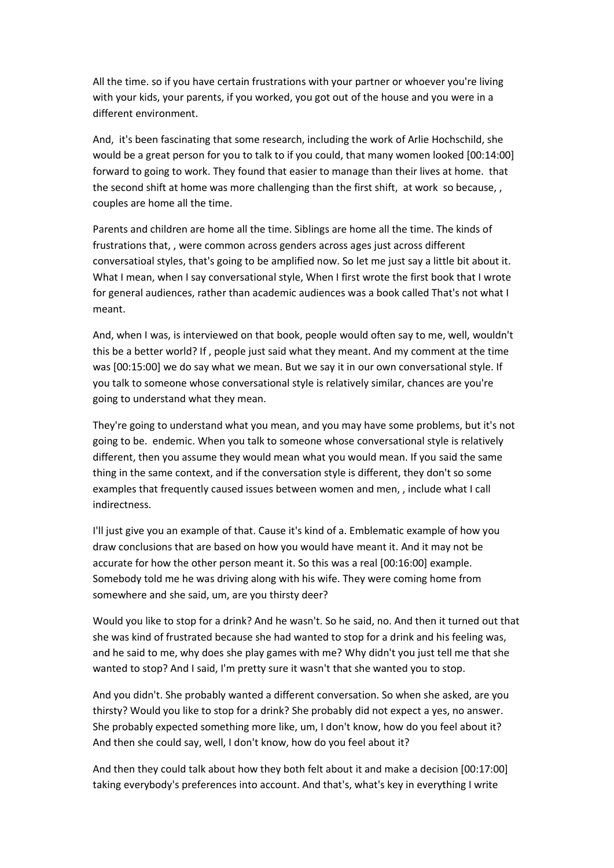All the time. so if you have certain frustrations with your partner or whoever you're living with your kids, your parents, if you worked, you got out of the house and you were in a different environment.

And, it's been fascinating that some research, including the work of Arlie Hochschild, she would be a great person for you to talk to if you could, that many women looked [00:14:00] forward to going to work. They found that easier to manage than their lives at home. that the second shift at home was more challenging than the first shift, at work so because, , couples are home all the time.

Parents and children are home all the time. Siblings are home all the time. The kinds of frustrations that, , were common across genders across ages just across different conversatioal styles, that's going to be amplified now. So let me just say a little bit about it. What I mean, when I say conversational style, When I first wrote the first book that I wrote for general audiences, rather than academic audiences was a book called That's not what I meant.

And, when I was, is interviewed on that book, people would often say to me, well, wouldn't this be a better world? If , people just said what they meant. And my comment at the time was [00:15:00] we do say what we mean. But we say it in our own conversational style. If you talk to someone whose conversational style is relatively similar, chances are you're going to understand what they mean.

They're going to understand what you mean, and you may have some problems, but it's not going to be. endemic. When you talk to someone whose conversational style is relatively different, then you assume they would mean what you would mean. If you said the same thing in the same context, and if the conversation style is different, they don't so some examples that frequently caused issues between women and men, , include what I call indirectness.

I'll just give you an example of that. Cause it's kind of a. Emblematic example of how you draw conclusions that are based on how you would have meant it. And it may not be accurate for how the other person meant it. So this was a real [00:16:00] example. Somebody told me he was driving along with his wife. They were coming home from somewhere and she said, um, are you thirsty deer?

Would you like to stop for a drink? And he wasn't. So he said, no. And then it turned out that she was kind of frustrated because she had wanted to stop for a drink and his feeling was, and he said to me, why does she play games with me? Why didn't you just tell me that she wanted to stop? And I said, I'm pretty sure it wasn't that she wanted you to stop.

And you didn't. She probably wanted a different conversation. So when she asked, are you thirsty? Would you like to stop for a drink? She probably did not expect a yes, no answer. She probably expected something more like, um, I don't know, how do you feel about it? And then she could say, well, I don't know, how do you feel about it?

And then they could talk about how they both felt about it and make a decision [00:17:00] taking everybody's preferences into account. And that's, what's key in everything I write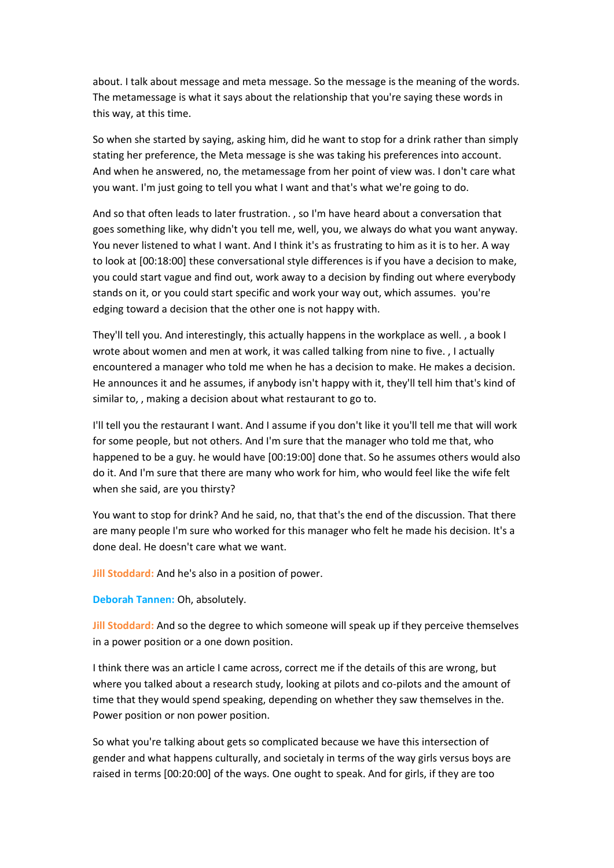about. I talk about message and meta message. So the message is the meaning of the words. The metamessage is what it says about the relationship that you're saying these words in this way, at this time.

So when she started by saying, asking him, did he want to stop for a drink rather than simply stating her preference, the Meta message is she was taking his preferences into account. And when he answered, no, the metamessage from her point of view was. I don't care what you want. I'm just going to tell you what I want and that's what we're going to do.

And so that often leads to later frustration. , so I'm have heard about a conversation that goes something like, why didn't you tell me, well, you, we always do what you want anyway. You never listened to what I want. And I think it's as frustrating to him as it is to her. A way to look at [00:18:00] these conversational style differences is if you have a decision to make, you could start vague and find out, work away to a decision by finding out where everybody stands on it, or you could start specific and work your way out, which assumes. you're edging toward a decision that the other one is not happy with.

They'll tell you. And interestingly, this actually happens in the workplace as well. , a book I wrote about women and men at work, it was called talking from nine to five. , I actually encountered a manager who told me when he has a decision to make. He makes a decision. He announces it and he assumes, if anybody isn't happy with it, they'll tell him that's kind of similar to, , making a decision about what restaurant to go to.

I'll tell you the restaurant I want. And I assume if you don't like it you'll tell me that will work for some people, but not others. And I'm sure that the manager who told me that, who happened to be a guy. he would have [00:19:00] done that. So he assumes others would also do it. And I'm sure that there are many who work for him, who would feel like the wife felt when she said, are you thirsty?

You want to stop for drink? And he said, no, that that's the end of the discussion. That there are many people I'm sure who worked for this manager who felt he made his decision. It's a done deal. He doesn't care what we want.

**Jill Stoddard:** And he's also in a position of power.

**Deborah Tannen:** Oh, absolutely.

**Jill Stoddard:** And so the degree to which someone will speak up if they perceive themselves in a power position or a one down position.

I think there was an article I came across, correct me if the details of this are wrong, but where you talked about a research study, looking at pilots and co-pilots and the amount of time that they would spend speaking, depending on whether they saw themselves in the. Power position or non power position.

So what you're talking about gets so complicated because we have this intersection of gender and what happens culturally, and societaly in terms of the way girls versus boys are raised in terms [00:20:00] of the ways. One ought to speak. And for girls, if they are too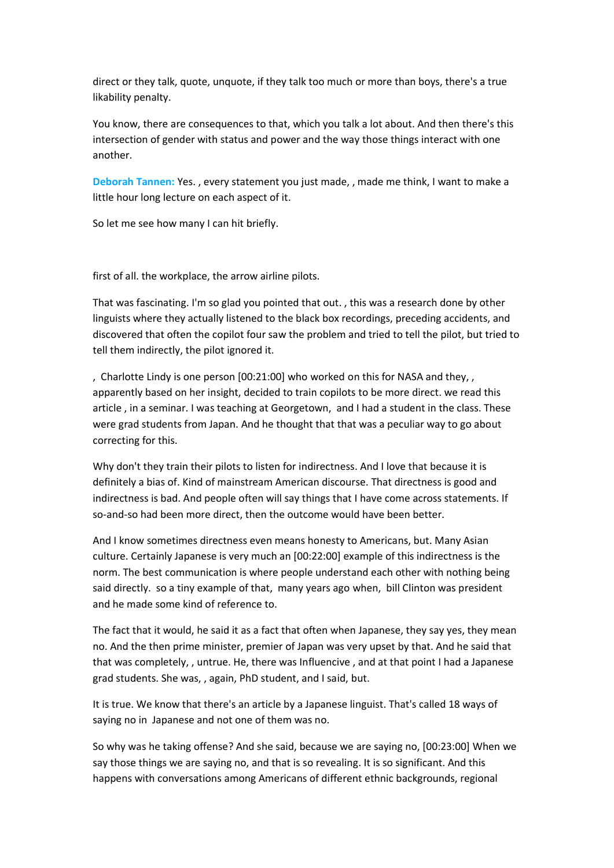direct or they talk, quote, unquote, if they talk too much or more than boys, there's a true likability penalty.

You know, there are consequences to that, which you talk a lot about. And then there's this intersection of gender with status and power and the way those things interact with one another.

**Deborah Tannen:** Yes. , every statement you just made, , made me think, I want to make a little hour long lecture on each aspect of it.

So let me see how many I can hit briefly.

first of all. the workplace, the arrow airline pilots.

That was fascinating. I'm so glad you pointed that out. , this was a research done by other linguists where they actually listened to the black box recordings, preceding accidents, and discovered that often the copilot four saw the problem and tried to tell the pilot, but tried to tell them indirectly, the pilot ignored it.

, Charlotte Lindy is one person [00:21:00] who worked on this for NASA and they, , apparently based on her insight, decided to train copilots to be more direct. we read this article , in a seminar. I was teaching at Georgetown, and I had a student in the class. These were grad students from Japan. And he thought that that was a peculiar way to go about correcting for this.

Why don't they train their pilots to listen for indirectness. And I love that because it is definitely a bias of. Kind of mainstream American discourse. That directness is good and indirectness is bad. And people often will say things that I have come across statements. If so-and-so had been more direct, then the outcome would have been better.

And I know sometimes directness even means honesty to Americans, but. Many Asian culture. Certainly Japanese is very much an [00:22:00] example of this indirectness is the norm. The best communication is where people understand each other with nothing being said directly. so a tiny example of that, many years ago when, bill Clinton was president and he made some kind of reference to.

The fact that it would, he said it as a fact that often when Japanese, they say yes, they mean no. And the then prime minister, premier of Japan was very upset by that. And he said that that was completely, , untrue. He, there was Influencive , and at that point I had a Japanese grad students. She was, , again, PhD student, and I said, but.

It is true. We know that there's an article by a Japanese linguist. That's called 18 ways of saying no in Japanese and not one of them was no.

So why was he taking offense? And she said, because we are saying no, [00:23:00] When we say those things we are saying no, and that is so revealing. It is so significant. And this happens with conversations among Americans of different ethnic backgrounds, regional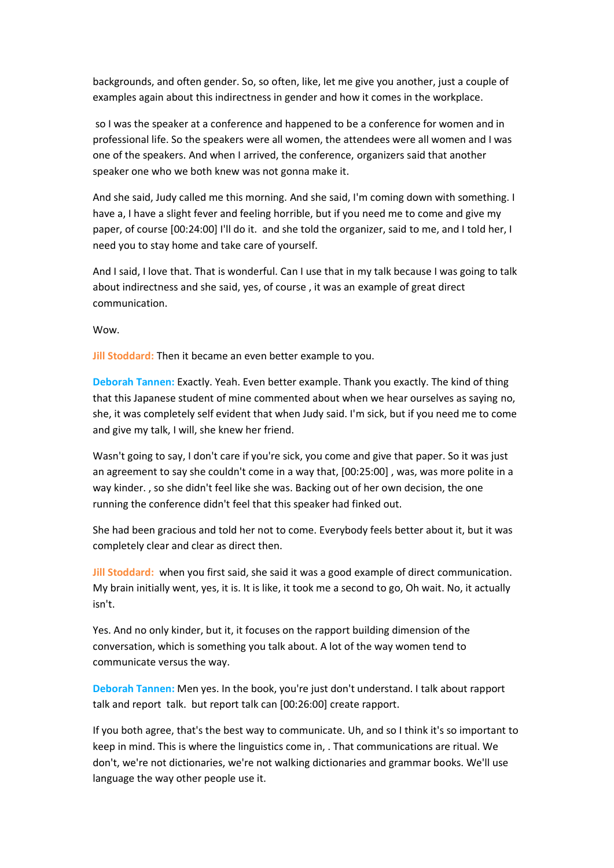backgrounds, and often gender. So, so often, like, let me give you another, just a couple of examples again about this indirectness in gender and how it comes in the workplace.

so I was the speaker at a conference and happened to be a conference for women and in professional life. So the speakers were all women, the attendees were all women and I was one of the speakers. And when I arrived, the conference, organizers said that another speaker one who we both knew was not gonna make it.

And she said, Judy called me this morning. And she said, I'm coming down with something. I have a, I have a slight fever and feeling horrible, but if you need me to come and give my paper, of course [00:24:00] I'll do it. and she told the organizer, said to me, and I told her, I need you to stay home and take care of yourself.

And I said, I love that. That is wonderful. Can I use that in my talk because I was going to talk about indirectness and she said, yes, of course , it was an example of great direct communication.

Wow.

**Jill Stoddard:** Then it became an even better example to you.

**Deborah Tannen:** Exactly. Yeah. Even better example. Thank you exactly. The kind of thing that this Japanese student of mine commented about when we hear ourselves as saying no, she, it was completely self evident that when Judy said. I'm sick, but if you need me to come and give my talk, I will, she knew her friend.

Wasn't going to say, I don't care if you're sick, you come and give that paper. So it was just an agreement to say she couldn't come in a way that, [00:25:00] , was, was more polite in a way kinder. , so she didn't feel like she was. Backing out of her own decision, the one running the conference didn't feel that this speaker had finked out.

She had been gracious and told her not to come. Everybody feels better about it, but it was completely clear and clear as direct then.

**Jill Stoddard:** when you first said, she said it was a good example of direct communication. My brain initially went, yes, it is. It is like, it took me a second to go, Oh wait. No, it actually isn't.

Yes. And no only kinder, but it, it focuses on the rapport building dimension of the conversation, which is something you talk about. A lot of the way women tend to communicate versus the way.

**Deborah Tannen:** Men yes. In the book, you're just don't understand. I talk about rapport talk and report talk. but report talk can [00:26:00] create rapport.

If you both agree, that's the best way to communicate. Uh, and so I think it's so important to keep in mind. This is where the linguistics come in, . That communications are ritual. We don't, we're not dictionaries, we're not walking dictionaries and grammar books. We'll use language the way other people use it.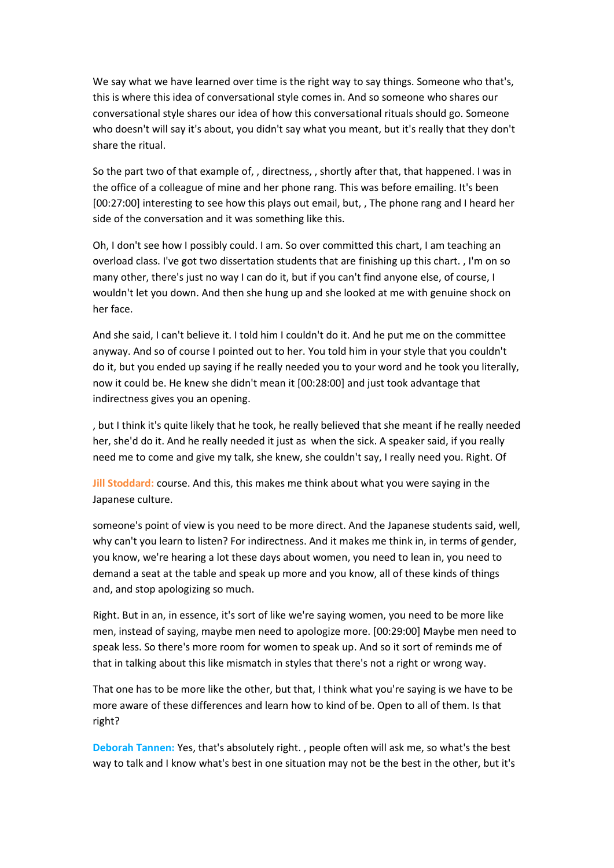We say what we have learned over time is the right way to say things. Someone who that's, this is where this idea of conversational style comes in. And so someone who shares our conversational style shares our idea of how this conversational rituals should go. Someone who doesn't will say it's about, you didn't say what you meant, but it's really that they don't share the ritual.

So the part two of that example of, , directness, , shortly after that, that happened. I was in the office of a colleague of mine and her phone rang. This was before emailing. It's been [00:27:00] interesting to see how this plays out email, but, , The phone rang and I heard her side of the conversation and it was something like this.

Oh, I don't see how I possibly could. I am. So over committed this chart, I am teaching an overload class. I've got two dissertation students that are finishing up this chart. , I'm on so many other, there's just no way I can do it, but if you can't find anyone else, of course, I wouldn't let you down. And then she hung up and she looked at me with genuine shock on her face.

And she said, I can't believe it. I told him I couldn't do it. And he put me on the committee anyway. And so of course I pointed out to her. You told him in your style that you couldn't do it, but you ended up saying if he really needed you to your word and he took you literally, now it could be. He knew she didn't mean it [00:28:00] and just took advantage that indirectness gives you an opening.

, but I think it's quite likely that he took, he really believed that she meant if he really needed her, she'd do it. And he really needed it just as when the sick. A speaker said, if you really need me to come and give my talk, she knew, she couldn't say, I really need you. Right. Of

**Jill Stoddard:** course. And this, this makes me think about what you were saying in the Japanese culture.

someone's point of view is you need to be more direct. And the Japanese students said, well, why can't you learn to listen? For indirectness. And it makes me think in, in terms of gender, you know, we're hearing a lot these days about women, you need to lean in, you need to demand a seat at the table and speak up more and you know, all of these kinds of things and, and stop apologizing so much.

Right. But in an, in essence, it's sort of like we're saying women, you need to be more like men, instead of saying, maybe men need to apologize more. [00:29:00] Maybe men need to speak less. So there's more room for women to speak up. And so it sort of reminds me of that in talking about this like mismatch in styles that there's not a right or wrong way.

That one has to be more like the other, but that, I think what you're saying is we have to be more aware of these differences and learn how to kind of be. Open to all of them. Is that right?

**Deborah Tannen:** Yes, that's absolutely right. , people often will ask me, so what's the best way to talk and I know what's best in one situation may not be the best in the other, but it's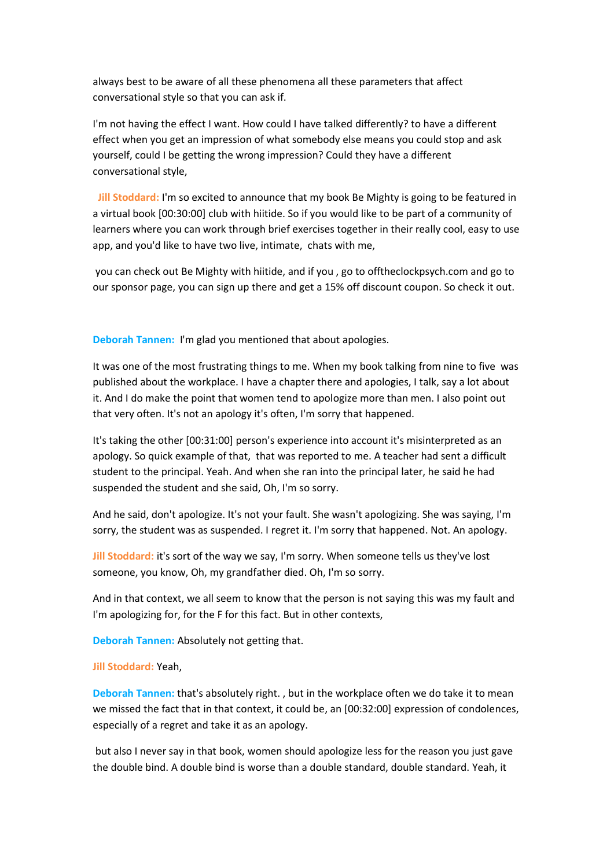always best to be aware of all these phenomena all these parameters that affect conversational style so that you can ask if.

I'm not having the effect I want. How could I have talked differently? to have a different effect when you get an impression of what somebody else means you could stop and ask yourself, could I be getting the wrong impression? Could they have a different conversational style,

 **Jill Stoddard:** I'm so excited to announce that my book Be Mighty is going to be featured in a virtual book [00:30:00] club with hiitide. So if you would like to be part of a community of learners where you can work through brief exercises together in their really cool, easy to use app, and you'd like to have two live, intimate, chats with me,

you can check out Be Mighty with hiitide, and if you , go to offtheclockpsych.com and go to our sponsor page, you can sign up there and get a 15% off discount coupon. So check it out.

**Deborah Tannen:** I'm glad you mentioned that about apologies.

It was one of the most frustrating things to me. When my book talking from nine to five was published about the workplace. I have a chapter there and apologies, I talk, say a lot about it. And I do make the point that women tend to apologize more than men. I also point out that very often. It's not an apology it's often, I'm sorry that happened.

It's taking the other [00:31:00] person's experience into account it's misinterpreted as an apology. So quick example of that, that was reported to me. A teacher had sent a difficult student to the principal. Yeah. And when she ran into the principal later, he said he had suspended the student and she said, Oh, I'm so sorry.

And he said, don't apologize. It's not your fault. She wasn't apologizing. She was saying, I'm sorry, the student was as suspended. I regret it. I'm sorry that happened. Not. An apology.

**Jill Stoddard:** it's sort of the way we say, I'm sorry. When someone tells us they've lost someone, you know, Oh, my grandfather died. Oh, I'm so sorry.

And in that context, we all seem to know that the person is not saying this was my fault and I'm apologizing for, for the F for this fact. But in other contexts,

**Deborah Tannen:** Absolutely not getting that.

## **Jill Stoddard:** Yeah,

**Deborah Tannen:** that's absolutely right. , but in the workplace often we do take it to mean we missed the fact that in that context, it could be, an [00:32:00] expression of condolences, especially of a regret and take it as an apology.

but also I never say in that book, women should apologize less for the reason you just gave the double bind. A double bind is worse than a double standard, double standard. Yeah, it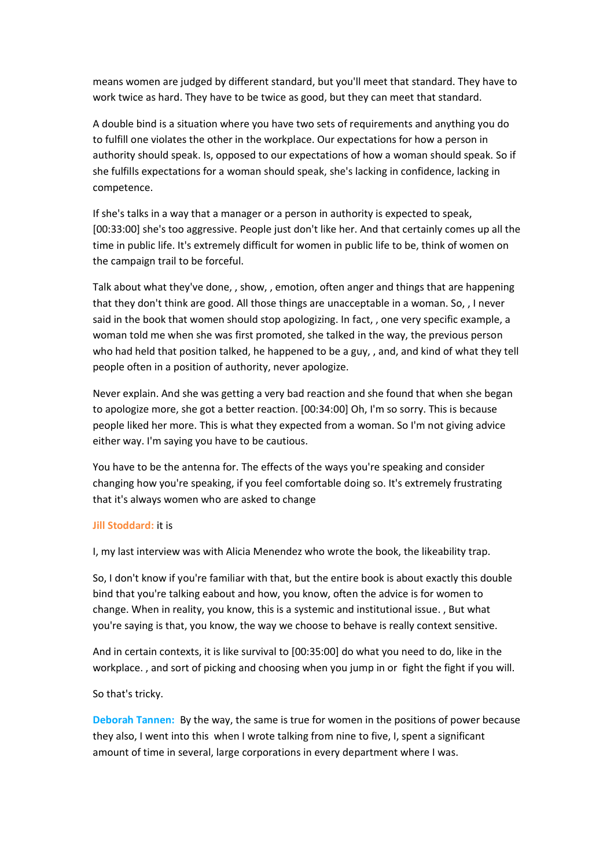means women are judged by different standard, but you'll meet that standard. They have to work twice as hard. They have to be twice as good, but they can meet that standard.

A double bind is a situation where you have two sets of requirements and anything you do to fulfill one violates the other in the workplace. Our expectations for how a person in authority should speak. Is, opposed to our expectations of how a woman should speak. So if she fulfills expectations for a woman should speak, she's lacking in confidence, lacking in competence.

If she's talks in a way that a manager or a person in authority is expected to speak, [00:33:00] she's too aggressive. People just don't like her. And that certainly comes up all the time in public life. It's extremely difficult for women in public life to be, think of women on the campaign trail to be forceful.

Talk about what they've done, , show, , emotion, often anger and things that are happening that they don't think are good. All those things are unacceptable in a woman. So, , I never said in the book that women should stop apologizing. In fact, , one very specific example, a woman told me when she was first promoted, she talked in the way, the previous person who had held that position talked, he happened to be a guy, , and, and kind of what they tell people often in a position of authority, never apologize.

Never explain. And she was getting a very bad reaction and she found that when she began to apologize more, she got a better reaction. [00:34:00] Oh, I'm so sorry. This is because people liked her more. This is what they expected from a woman. So I'm not giving advice either way. I'm saying you have to be cautious.

You have to be the antenna for. The effects of the ways you're speaking and consider changing how you're speaking, if you feel comfortable doing so. It's extremely frustrating that it's always women who are asked to change

## **Jill Stoddard:** it is

I, my last interview was with Alicia Menendez who wrote the book, the likeability trap.

So, I don't know if you're familiar with that, but the entire book is about exactly this double bind that you're talking eabout and how, you know, often the advice is for women to change. When in reality, you know, this is a systemic and institutional issue. , But what you're saying is that, you know, the way we choose to behave is really context sensitive.

And in certain contexts, it is like survival to [00:35:00] do what you need to do, like in the workplace. , and sort of picking and choosing when you jump in or fight the fight if you will.

## So that's tricky.

**Deborah Tannen:** By the way, the same is true for women in the positions of power because they also, I went into this when I wrote talking from nine to five, I, spent a significant amount of time in several, large corporations in every department where I was.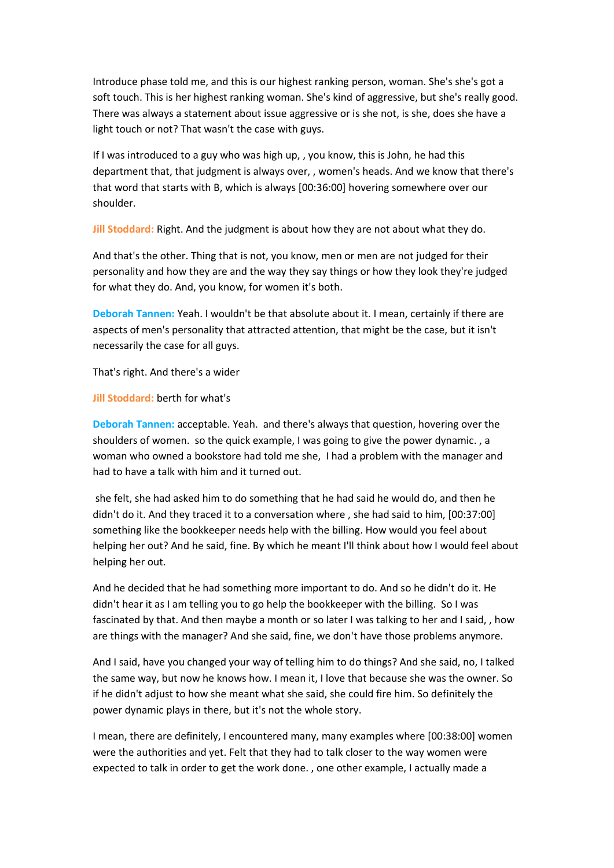Introduce phase told me, and this is our highest ranking person, woman. She's she's got a soft touch. This is her highest ranking woman. She's kind of aggressive, but she's really good. There was always a statement about issue aggressive or is she not, is she, does she have a light touch or not? That wasn't the case with guys.

If I was introduced to a guy who was high up, , you know, this is John, he had this department that, that judgment is always over, , women's heads. And we know that there's that word that starts with B, which is always [00:36:00] hovering somewhere over our shoulder.

**Jill Stoddard:** Right. And the judgment is about how they are not about what they do.

And that's the other. Thing that is not, you know, men or men are not judged for their personality and how they are and the way they say things or how they look they're judged for what they do. And, you know, for women it's both.

**Deborah Tannen:** Yeah. I wouldn't be that absolute about it. I mean, certainly if there are aspects of men's personality that attracted attention, that might be the case, but it isn't necessarily the case for all guys.

That's right. And there's a wider

## **Jill Stoddard:** berth for what's

**Deborah Tannen:** acceptable. Yeah. and there's always that question, hovering over the shoulders of women. so the quick example, I was going to give the power dynamic. , a woman who owned a bookstore had told me she, I had a problem with the manager and had to have a talk with him and it turned out.

she felt, she had asked him to do something that he had said he would do, and then he didn't do it. And they traced it to a conversation where , she had said to him, [00:37:00] something like the bookkeeper needs help with the billing. How would you feel about helping her out? And he said, fine. By which he meant I'll think about how I would feel about helping her out.

And he decided that he had something more important to do. And so he didn't do it. He didn't hear it as I am telling you to go help the bookkeeper with the billing. So I was fascinated by that. And then maybe a month or so later I was talking to her and I said, , how are things with the manager? And she said, fine, we don't have those problems anymore.

And I said, have you changed your way of telling him to do things? And she said, no, I talked the same way, but now he knows how. I mean it, I love that because she was the owner. So if he didn't adjust to how she meant what she said, she could fire him. So definitely the power dynamic plays in there, but it's not the whole story.

I mean, there are definitely, I encountered many, many examples where [00:38:00] women were the authorities and yet. Felt that they had to talk closer to the way women were expected to talk in order to get the work done. , one other example, I actually made a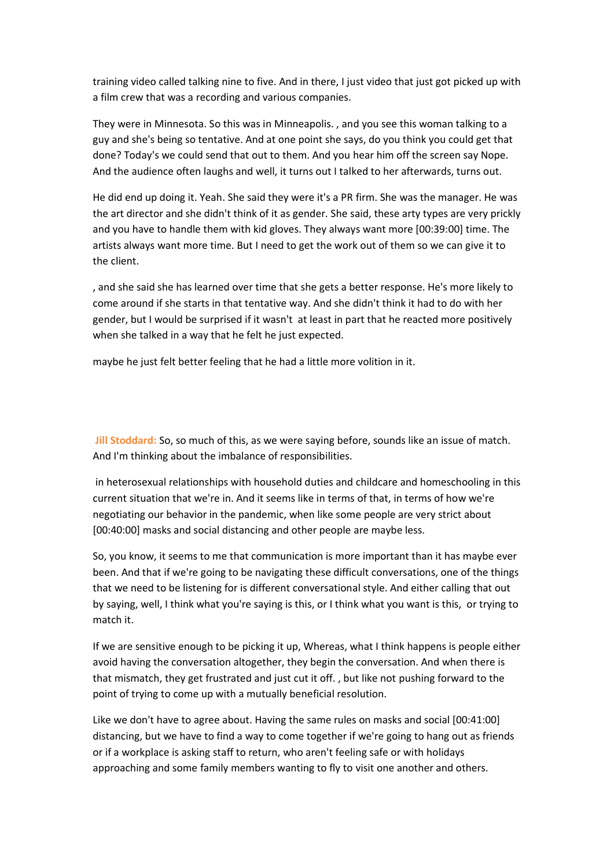training video called talking nine to five. And in there, I just video that just got picked up with a film crew that was a recording and various companies.

They were in Minnesota. So this was in Minneapolis. , and you see this woman talking to a guy and she's being so tentative. And at one point she says, do you think you could get that done? Today's we could send that out to them. And you hear him off the screen say Nope. And the audience often laughs and well, it turns out I talked to her afterwards, turns out.

He did end up doing it. Yeah. She said they were it's a PR firm. She was the manager. He was the art director and she didn't think of it as gender. She said, these arty types are very prickly and you have to handle them with kid gloves. They always want more [00:39:00] time. The artists always want more time. But I need to get the work out of them so we can give it to the client.

, and she said she has learned over time that she gets a better response. He's more likely to come around if she starts in that tentative way. And she didn't think it had to do with her gender, but I would be surprised if it wasn't at least in part that he reacted more positively when she talked in a way that he felt he just expected.

maybe he just felt better feeling that he had a little more volition in it.

**Jill Stoddard:** So, so much of this, as we were saying before, sounds like an issue of match. And I'm thinking about the imbalance of responsibilities.

in heterosexual relationships with household duties and childcare and homeschooling in this current situation that we're in. And it seems like in terms of that, in terms of how we're negotiating our behavior in the pandemic, when like some people are very strict about [00:40:00] masks and social distancing and other people are maybe less.

So, you know, it seems to me that communication is more important than it has maybe ever been. And that if we're going to be navigating these difficult conversations, one of the things that we need to be listening for is different conversational style. And either calling that out by saying, well, I think what you're saying is this, or I think what you want is this, or trying to match it.

If we are sensitive enough to be picking it up, Whereas, what I think happens is people either avoid having the conversation altogether, they begin the conversation. And when there is that mismatch, they get frustrated and just cut it off. , but like not pushing forward to the point of trying to come up with a mutually beneficial resolution.

Like we don't have to agree about. Having the same rules on masks and social [00:41:00] distancing, but we have to find a way to come together if we're going to hang out as friends or if a workplace is asking staff to return, who aren't feeling safe or with holidays approaching and some family members wanting to fly to visit one another and others.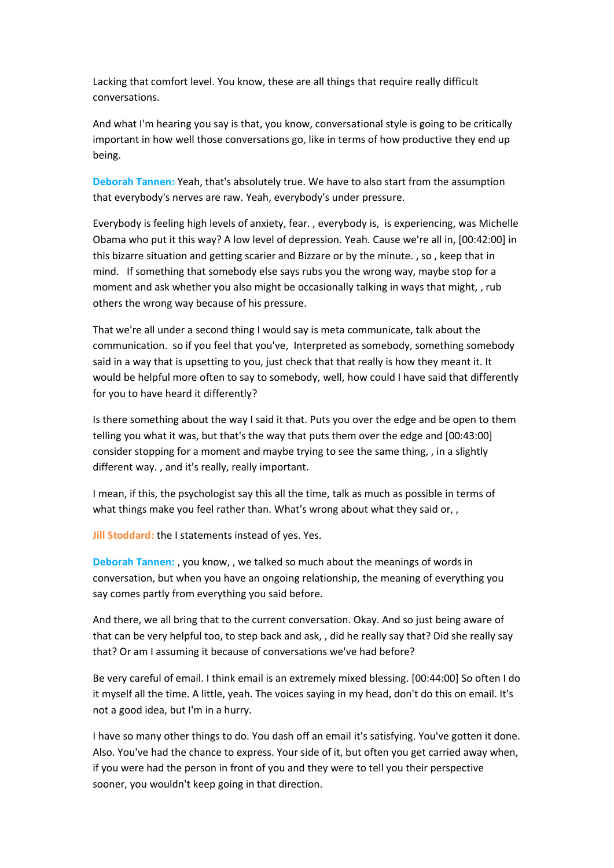Lacking that comfort level. You know, these are all things that require really difficult conversations.

And what I'm hearing you say is that, you know, conversational style is going to be critically important in how well those conversations go, like in terms of how productive they end up being.

**Deborah Tannen:** Yeah, that's absolutely true. We have to also start from the assumption that everybody's nerves are raw. Yeah, everybody's under pressure.

Everybody is feeling high levels of anxiety, fear. , everybody is, is experiencing, was Michelle Obama who put it this way? A low level of depression. Yeah. Cause we're all in, [00:42:00] in this bizarre situation and getting scarier and Bizzare or by the minute. , so , keep that in mind. If something that somebody else says rubs you the wrong way, maybe stop for a moment and ask whether you also might be occasionally talking in ways that might, , rub others the wrong way because of his pressure.

That we're all under a second thing I would say is meta communicate, talk about the communication. so if you feel that you've, Interpreted as somebody, something somebody said in a way that is upsetting to you, just check that that really is how they meant it. It would be helpful more often to say to somebody, well, how could I have said that differently for you to have heard it differently?

Is there something about the way I said it that. Puts you over the edge and be open to them telling you what it was, but that's the way that puts them over the edge and [00:43:00] consider stopping for a moment and maybe trying to see the same thing, , in a slightly different way. , and it's really, really important.

I mean, if this, the psychologist say this all the time, talk as much as possible in terms of what things make you feel rather than. What's wrong about what they said or, ,

**Jill Stoddard:** the I statements instead of yes. Yes.

**Deborah Tannen:** , you know, , we talked so much about the meanings of words in conversation, but when you have an ongoing relationship, the meaning of everything you say comes partly from everything you said before.

And there, we all bring that to the current conversation. Okay. And so just being aware of that can be very helpful too, to step back and ask, , did he really say that? Did she really say that? Or am I assuming it because of conversations we've had before?

Be very careful of email. I think email is an extremely mixed blessing. [00:44:00] So often I do it myself all the time. A little, yeah. The voices saying in my head, don't do this on email. It's not a good idea, but I'm in a hurry.

I have so many other things to do. You dash off an email it's satisfying. You've gotten it done. Also. You've had the chance to express. Your side of it, but often you get carried away when, if you were had the person in front of you and they were to tell you their perspective sooner, you wouldn't keep going in that direction.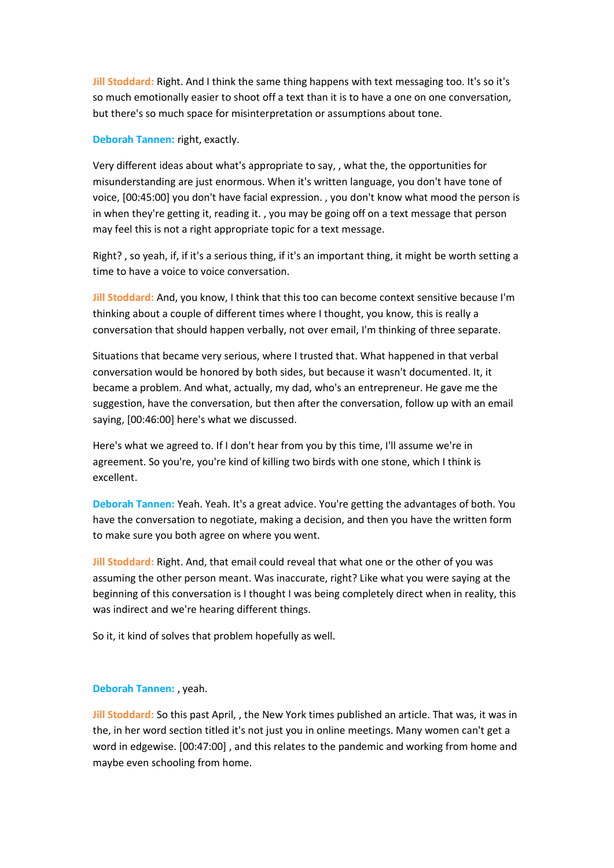**Jill Stoddard:** Right. And I think the same thing happens with text messaging too. It's so it's so much emotionally easier to shoot off a text than it is to have a one on one conversation, but there's so much space for misinterpretation or assumptions about tone.

**Deborah Tannen:** right, exactly.

Very different ideas about what's appropriate to say, , what the, the opportunities for misunderstanding are just enormous. When it's written language, you don't have tone of voice, [00:45:00] you don't have facial expression. , you don't know what mood the person is in when they're getting it, reading it. , you may be going off on a text message that person may feel this is not a right appropriate topic for a text message.

Right? , so yeah, if, if it's a serious thing, if it's an important thing, it might be worth setting a time to have a voice to voice conversation.

**Jill Stoddard:** And, you know, I think that this too can become context sensitive because I'm thinking about a couple of different times where I thought, you know, this is really a conversation that should happen verbally, not over email, I'm thinking of three separate.

Situations that became very serious, where I trusted that. What happened in that verbal conversation would be honored by both sides, but because it wasn't documented. It, it became a problem. And what, actually, my dad, who's an entrepreneur. He gave me the suggestion, have the conversation, but then after the conversation, follow up with an email saying, [00:46:00] here's what we discussed.

Here's what we agreed to. If I don't hear from you by this time, I'll assume we're in agreement. So you're, you're kind of killing two birds with one stone, which I think is excellent.

**Deborah Tannen:** Yeah. Yeah. It's a great advice. You're getting the advantages of both. You have the conversation to negotiate, making a decision, and then you have the written form to make sure you both agree on where you went.

**Jill Stoddard:** Right. And, that email could reveal that what one or the other of you was assuming the other person meant. Was inaccurate, right? Like what you were saying at the beginning of this conversation is I thought I was being completely direct when in reality, this was indirect and we're hearing different things.

So it, it kind of solves that problem hopefully as well.

# **Deborah Tannen:** , yeah.

**Jill Stoddard:** So this past April, , the New York times published an article. That was, it was in the, in her word section titled it's not just you in online meetings. Many women can't get a word in edgewise. [00:47:00] , and this relates to the pandemic and working from home and maybe even schooling from home.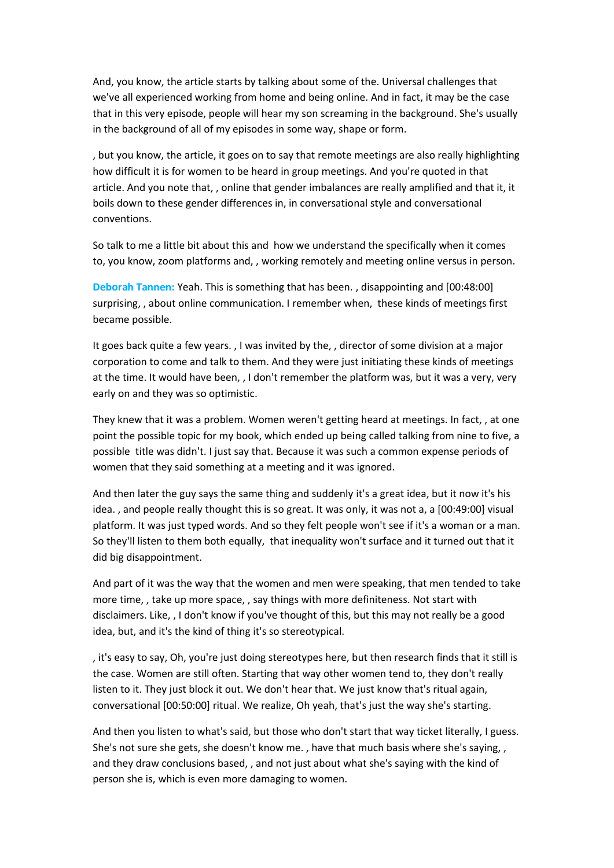And, you know, the article starts by talking about some of the. Universal challenges that we've all experienced working from home and being online. And in fact, it may be the case that in this very episode, people will hear my son screaming in the background. She's usually in the background of all of my episodes in some way, shape or form.

, but you know, the article, it goes on to say that remote meetings are also really highlighting how difficult it is for women to be heard in group meetings. And you're quoted in that article. And you note that, , online that gender imbalances are really amplified and that it, it boils down to these gender differences in, in conversational style and conversational conventions.

So talk to me a little bit about this and how we understand the specifically when it comes to, you know, zoom platforms and, , working remotely and meeting online versus in person.

**Deborah Tannen:** Yeah. This is something that has been. , disappointing and [00:48:00] surprising, , about online communication. I remember when, these kinds of meetings first became possible.

It goes back quite a few years. , I was invited by the, , director of some division at a major corporation to come and talk to them. And they were just initiating these kinds of meetings at the time. It would have been, , I don't remember the platform was, but it was a very, very early on and they was so optimistic.

They knew that it was a problem. Women weren't getting heard at meetings. In fact, , at one point the possible topic for my book, which ended up being called talking from nine to five, a possible title was didn't. I just say that. Because it was such a common expense periods of women that they said something at a meeting and it was ignored.

And then later the guy says the same thing and suddenly it's a great idea, but it now it's his idea. , and people really thought this is so great. It was only, it was not a, a [00:49:00] visual platform. It was just typed words. And so they felt people won't see if it's a woman or a man. So they'll listen to them both equally, that inequality won't surface and it turned out that it did big disappointment.

And part of it was the way that the women and men were speaking, that men tended to take more time, , take up more space, , say things with more definiteness. Not start with disclaimers. Like, , I don't know if you've thought of this, but this may not really be a good idea, but, and it's the kind of thing it's so stereotypical.

, it's easy to say, Oh, you're just doing stereotypes here, but then research finds that it still is the case. Women are still often. Starting that way other women tend to, they don't really listen to it. They just block it out. We don't hear that. We just know that's ritual again, conversational [00:50:00] ritual. We realize, Oh yeah, that's just the way she's starting.

And then you listen to what's said, but those who don't start that way ticket literally, I guess. She's not sure she gets, she doesn't know me. , have that much basis where she's saying, , and they draw conclusions based, , and not just about what she's saying with the kind of person she is, which is even more damaging to women.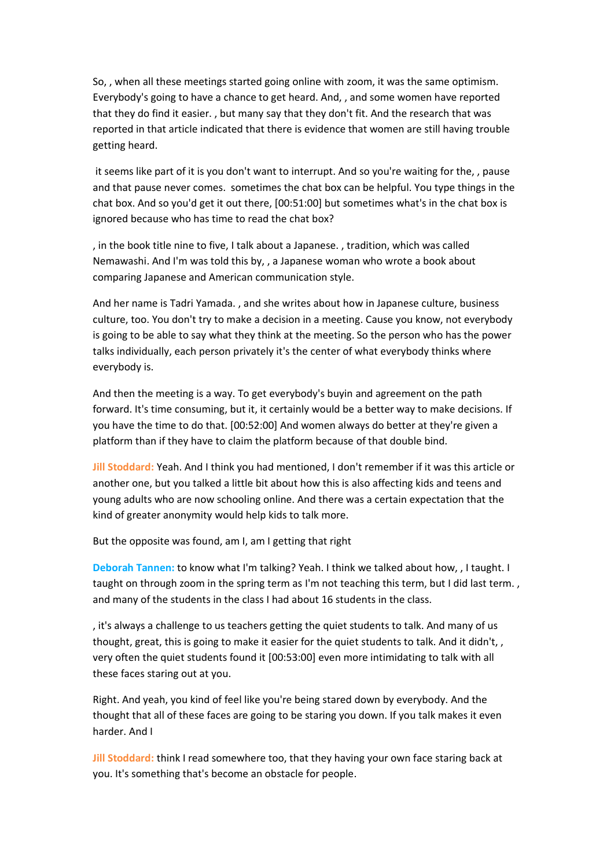So, , when all these meetings started going online with zoom, it was the same optimism. Everybody's going to have a chance to get heard. And, , and some women have reported that they do find it easier. , but many say that they don't fit. And the research that was reported in that article indicated that there is evidence that women are still having trouble getting heard.

it seems like part of it is you don't want to interrupt. And so you're waiting for the, , pause and that pause never comes. sometimes the chat box can be helpful. You type things in the chat box. And so you'd get it out there, [00:51:00] but sometimes what's in the chat box is ignored because who has time to read the chat box?

, in the book title nine to five, I talk about a Japanese. , tradition, which was called Nemawashi. And I'm was told this by, , a Japanese woman who wrote a book about comparing Japanese and American communication style.

And her name is Tadri Yamada. , and she writes about how in Japanese culture, business culture, too. You don't try to make a decision in a meeting. Cause you know, not everybody is going to be able to say what they think at the meeting. So the person who has the power talks individually, each person privately it's the center of what everybody thinks where everybody is.

And then the meeting is a way. To get everybody's buyin and agreement on the path forward. It's time consuming, but it, it certainly would be a better way to make decisions. If you have the time to do that. [00:52:00] And women always do better at they're given a platform than if they have to claim the platform because of that double bind.

**Jill Stoddard:** Yeah. And I think you had mentioned, I don't remember if it was this article or another one, but you talked a little bit about how this is also affecting kids and teens and young adults who are now schooling online. And there was a certain expectation that the kind of greater anonymity would help kids to talk more.

But the opposite was found, am I, am I getting that right

**Deborah Tannen:** to know what I'm talking? Yeah. I think we talked about how, , I taught. I taught on through zoom in the spring term as I'm not teaching this term, but I did last term. and many of the students in the class I had about 16 students in the class.

, it's always a challenge to us teachers getting the quiet students to talk. And many of us thought, great, this is going to make it easier for the quiet students to talk. And it didn't, , very often the quiet students found it [00:53:00] even more intimidating to talk with all these faces staring out at you.

Right. And yeah, you kind of feel like you're being stared down by everybody. And the thought that all of these faces are going to be staring you down. If you talk makes it even harder. And I

**Jill Stoddard:** think I read somewhere too, that they having your own face staring back at you. It's something that's become an obstacle for people.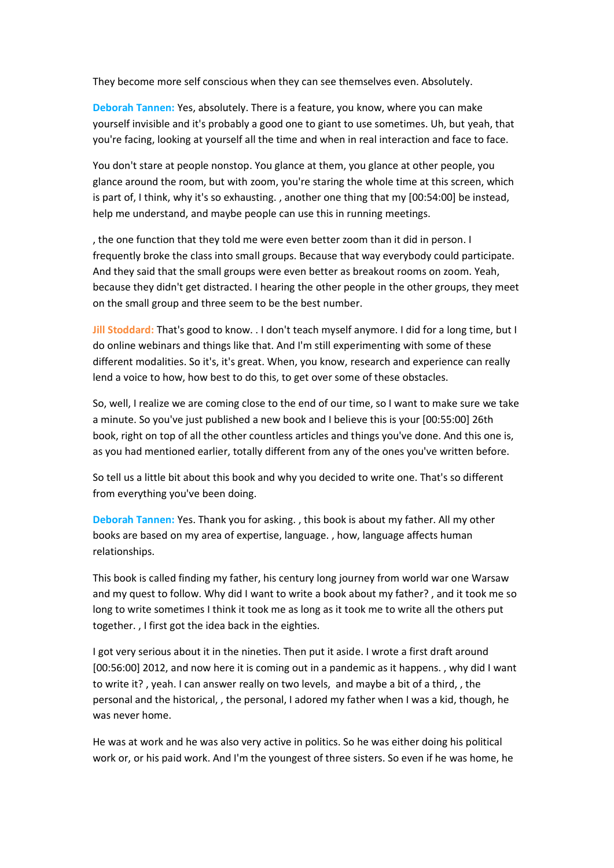They become more self conscious when they can see themselves even. Absolutely.

**Deborah Tannen:** Yes, absolutely. There is a feature, you know, where you can make yourself invisible and it's probably a good one to giant to use sometimes. Uh, but yeah, that you're facing, looking at yourself all the time and when in real interaction and face to face.

You don't stare at people nonstop. You glance at them, you glance at other people, you glance around the room, but with zoom, you're staring the whole time at this screen, which is part of, I think, why it's so exhausting. , another one thing that my [00:54:00] be instead, help me understand, and maybe people can use this in running meetings.

, the one function that they told me were even better zoom than it did in person. I frequently broke the class into small groups. Because that way everybody could participate. And they said that the small groups were even better as breakout rooms on zoom. Yeah, because they didn't get distracted. I hearing the other people in the other groups, they meet on the small group and three seem to be the best number.

**Jill Stoddard:** That's good to know. . I don't teach myself anymore. I did for a long time, but I do online webinars and things like that. And I'm still experimenting with some of these different modalities. So it's, it's great. When, you know, research and experience can really lend a voice to how, how best to do this, to get over some of these obstacles.

So, well, I realize we are coming close to the end of our time, so I want to make sure we take a minute. So you've just published a new book and I believe this is your [00:55:00] 26th book, right on top of all the other countless articles and things you've done. And this one is, as you had mentioned earlier, totally different from any of the ones you've written before.

So tell us a little bit about this book and why you decided to write one. That's so different from everything you've been doing.

**Deborah Tannen:** Yes. Thank you for asking. , this book is about my father. All my other books are based on my area of expertise, language. , how, language affects human relationships.

This book is called finding my father, his century long journey from world war one Warsaw and my quest to follow. Why did I want to write a book about my father? , and it took me so long to write sometimes I think it took me as long as it took me to write all the others put together. , I first got the idea back in the eighties.

I got very serious about it in the nineties. Then put it aside. I wrote a first draft around [00:56:00] 2012, and now here it is coming out in a pandemic as it happens. , why did I want to write it? , yeah. I can answer really on two levels, and maybe a bit of a third, , the personal and the historical, , the personal, I adored my father when I was a kid, though, he was never home.

He was at work and he was also very active in politics. So he was either doing his political work or, or his paid work. And I'm the youngest of three sisters. So even if he was home, he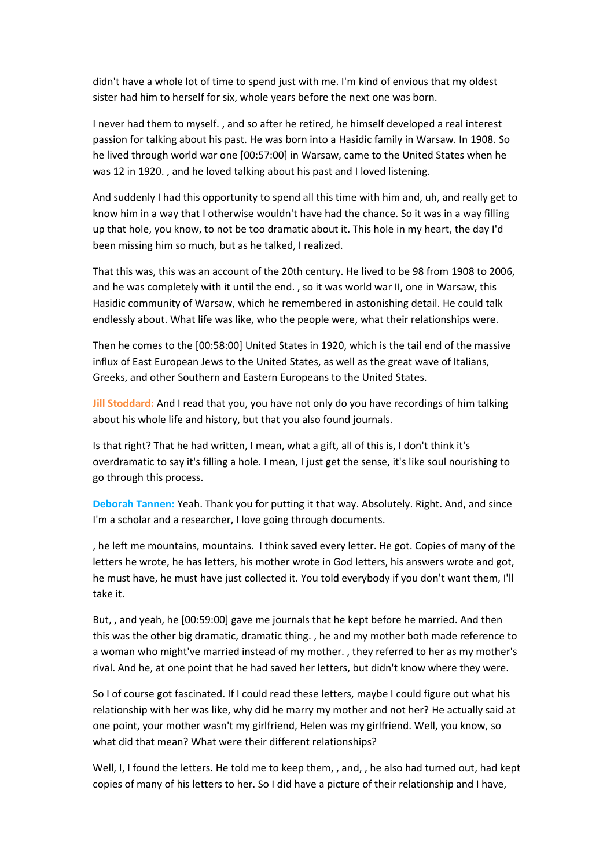didn't have a whole lot of time to spend just with me. I'm kind of envious that my oldest sister had him to herself for six, whole years before the next one was born.

I never had them to myself. , and so after he retired, he himself developed a real interest passion for talking about his past. He was born into a Hasidic family in Warsaw. In 1908. So he lived through world war one [00:57:00] in Warsaw, came to the United States when he was 12 in 1920. , and he loved talking about his past and I loved listening.

And suddenly I had this opportunity to spend all this time with him and, uh, and really get to know him in a way that I otherwise wouldn't have had the chance. So it was in a way filling up that hole, you know, to not be too dramatic about it. This hole in my heart, the day I'd been missing him so much, but as he talked, I realized.

That this was, this was an account of the 20th century. He lived to be 98 from 1908 to 2006, and he was completely with it until the end. , so it was world war II, one in Warsaw, this Hasidic community of Warsaw, which he remembered in astonishing detail. He could talk endlessly about. What life was like, who the people were, what their relationships were.

Then he comes to the [00:58:00] United States in 1920, which is the tail end of the massive influx of East European Jews to the United States, as well as the great wave of Italians, Greeks, and other Southern and Eastern Europeans to the United States.

**Jill Stoddard:** And I read that you, you have not only do you have recordings of him talking about his whole life and history, but that you also found journals.

Is that right? That he had written, I mean, what a gift, all of this is, I don't think it's overdramatic to say it's filling a hole. I mean, I just get the sense, it's like soul nourishing to go through this process.

**Deborah Tannen:** Yeah. Thank you for putting it that way. Absolutely. Right. And, and since I'm a scholar and a researcher, I love going through documents.

, he left me mountains, mountains. I think saved every letter. He got. Copies of many of the letters he wrote, he has letters, his mother wrote in God letters, his answers wrote and got, he must have, he must have just collected it. You told everybody if you don't want them, I'll take it.

But, , and yeah, he [00:59:00] gave me journals that he kept before he married. And then this was the other big dramatic, dramatic thing. , he and my mother both made reference to a woman who might've married instead of my mother. , they referred to her as my mother's rival. And he, at one point that he had saved her letters, but didn't know where they were.

So I of course got fascinated. If I could read these letters, maybe I could figure out what his relationship with her was like, why did he marry my mother and not her? He actually said at one point, your mother wasn't my girlfriend, Helen was my girlfriend. Well, you know, so what did that mean? What were their different relationships?

Well, I, I found the letters. He told me to keep them, , and, , he also had turned out, had kept copies of many of his letters to her. So I did have a picture of their relationship and I have,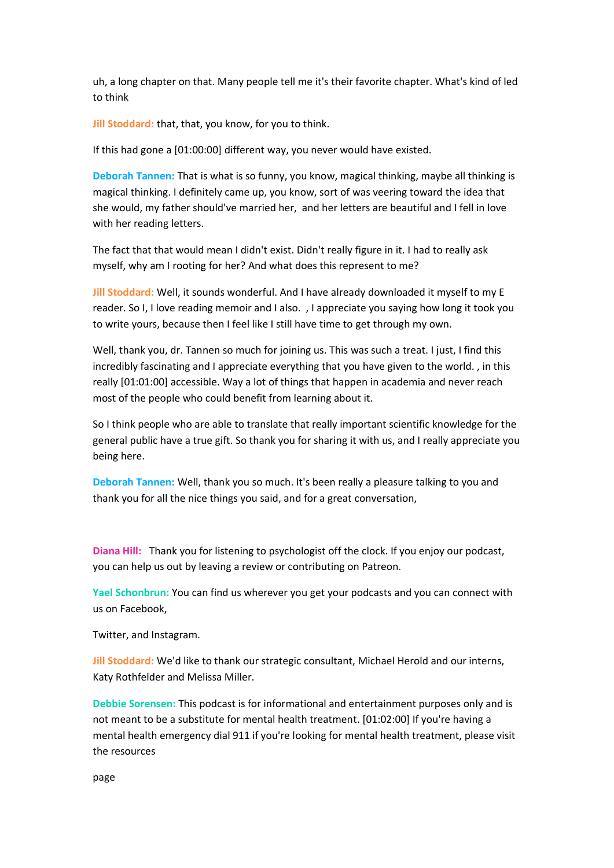uh, a long chapter on that. Many people tell me it's their favorite chapter. What's kind of led to think

**Jill Stoddard:** that, that, you know, for you to think.

If this had gone a [01:00:00] different way, you never would have existed.

**Deborah Tannen:** That is what is so funny, you know, magical thinking, maybe all thinking is magical thinking. I definitely came up, you know, sort of was veering toward the idea that she would, my father should've married her, and her letters are beautiful and I fell in love with her reading letters.

The fact that that would mean I didn't exist. Didn't really figure in it. I had to really ask myself, why am I rooting for her? And what does this represent to me?

**Jill Stoddard:** Well, it sounds wonderful. And I have already downloaded it myself to my E reader. So I, I love reading memoir and I also. , I appreciate you saying how long it took you to write yours, because then I feel like I still have time to get through my own.

Well, thank you, dr. Tannen so much for joining us. This was such a treat. I just, I find this incredibly fascinating and I appreciate everything that you have given to the world. , in this really [01:01:00] accessible. Way a lot of things that happen in academia and never reach most of the people who could benefit from learning about it.

So I think people who are able to translate that really important scientific knowledge for the general public have a true gift. So thank you for sharing it with us, and I really appreciate you being here.

**Deborah Tannen:** Well, thank you so much. It's been really a pleasure talking to you and thank you for all the nice things you said, and for a great conversation,

**Diana Hill:** Thank you for listening to psychologist off the clock. If you enjoy our podcast, you can help us out by leaving a review or contributing on Patreon.

**Yael Schonbrun:** You can find us wherever you get your podcasts and you can connect with us on Facebook,

Twitter, and Instagram.

**Jill Stoddard:** We'd like to thank our strategic consultant, Michael Herold and our interns, Katy Rothfelder and Melissa Miller.

**Debbie Sorensen:** This podcast is for informational and entertainment purposes only and is not meant to be a substitute for mental health treatment. [01:02:00] If you're having a mental health emergency dial 911 if you're looking for mental health treatment, please visit the resources

page